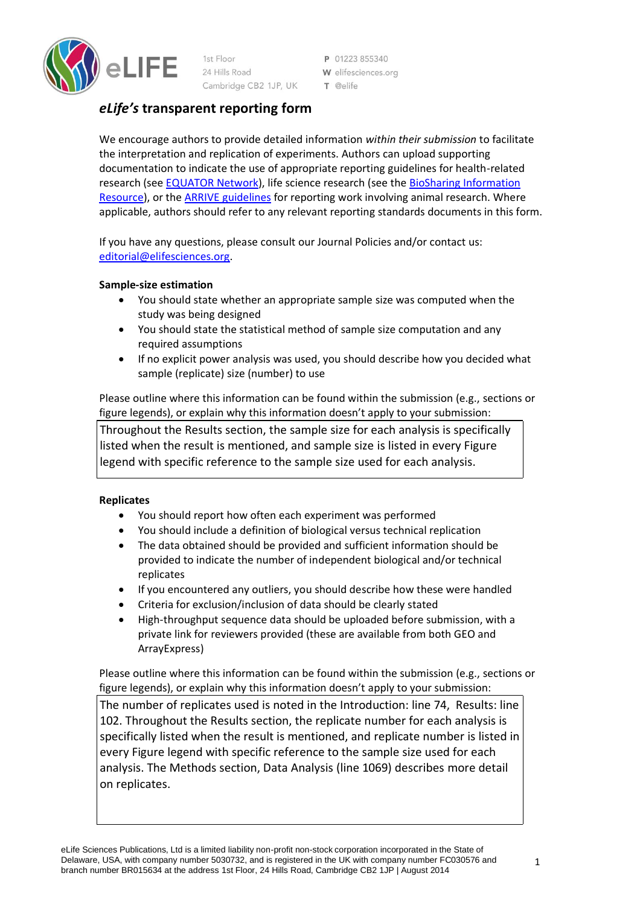

1st Floor 24 Hills Road Cambridge CB2 1JP, UK

P 01223 855340 W elifesciences.org  $T$  @elife

# *eLife's* **transparent reporting form**

We encourage authors to provide detailed information *within their submission* to facilitate the interpretation and replication of experiments. Authors can upload supporting documentation to indicate the use of appropriate reporting guidelines for health-related research (see [EQUATOR Network\)](http://www.equator-network.org/), life science research (see the [BioSharing Information](https://biosharing.org/)  [Resource\)](https://biosharing.org/), or the [ARRIVE guidelines](http://www.plosbiology.org/article/info:doi/10.1371/journal.pbio.1000412) for reporting work involving animal research. Where applicable, authors should refer to any relevant reporting standards documents in this form.

If you have any questions, please consult our Journal Policies and/or contact us: [editorial@elifesciences.org.](mailto:editorial@elifesciences.org)

# **Sample-size estimation**

- You should state whether an appropriate sample size was computed when the study was being designed
- You should state the statistical method of sample size computation and any required assumptions
- If no explicit power analysis was used, you should describe how you decided what sample (replicate) size (number) to use

Please outline where this information can be found within the submission (e.g., sections or figure legends), or explain why this information doesn't apply to your submission:

Throughout the Results section, the sample size for each analysis is specifically listed when the result is mentioned, and sample size is listed in every Figure legend with specific reference to the sample size used for each analysis.

# **Replicates**

- You should report how often each experiment was performed
- You should include a definition of biological versus technical replication
- The data obtained should be provided and sufficient information should be provided to indicate the number of independent biological and/or technical replicates
- If you encountered any outliers, you should describe how these were handled
- Criteria for exclusion/inclusion of data should be clearly stated
- High-throughput sequence data should be uploaded before submission, with a private link for reviewers provided (these are available from both GEO and ArrayExpress)

Please outline where this information can be found within the submission (e.g., sections or figure legends), or explain why this information doesn't apply to your submission:

The number of replicates used is noted in the Introduction: line 74, Results: line 102. Throughout the Results section, the replicate number for each analysis is specifically listed when the result is mentioned, and replicate number is listed in every Figure legend with specific reference to the sample size used for each analysis. The Methods section, Data Analysis (line 1069) describes more detail on replicates.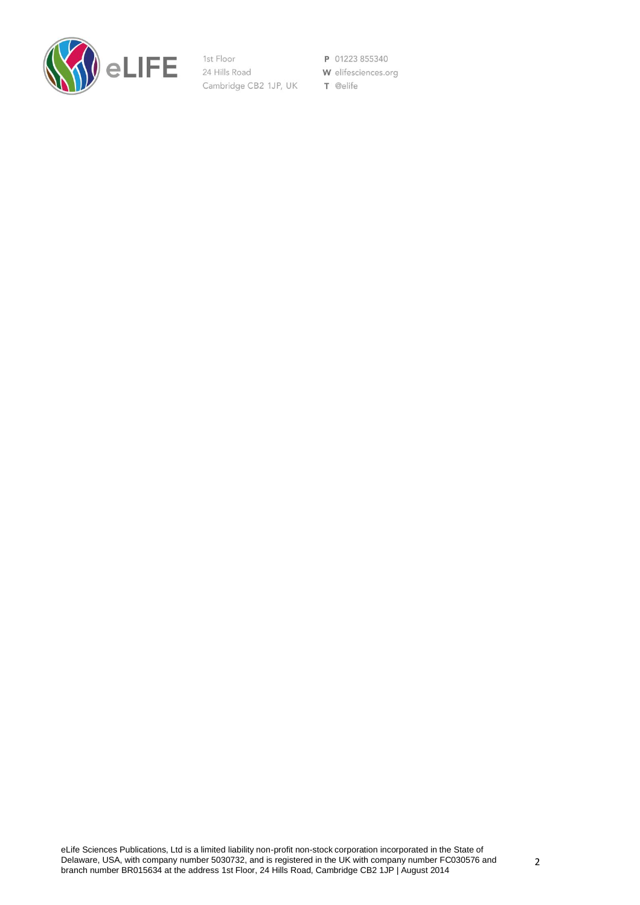

1st Floor<br>24 Hills Road Cambridge CB2 1JP, UK

P 01223 855340

W elifesciences.org

T @elife